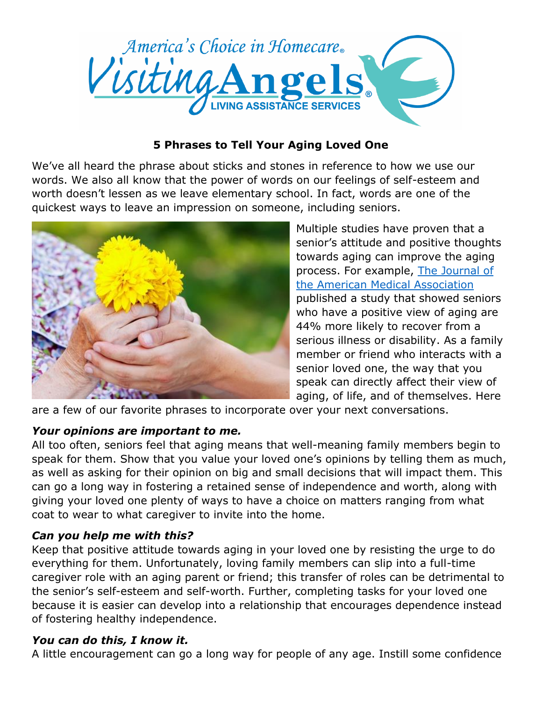

#### **5 Phrases to Tell Your Aging Loved One**

We've all heard the phrase about sticks and stones in reference to how we use our words. We also all know that the power of words on our feelings of self-esteem and worth doesn't lessen as we leave elementary school. In fact, words are one of the quickest ways to leave an impression on someone, including seniors.



Multiple studies have proven that a senior's attitude and positive thoughts towards aging can improve the aging process. For example, [The Journal of](http://jama.jamanetwork.com/article.aspx?articleid=1392557)  [the American Medical Association](http://jama.jamanetwork.com/article.aspx?articleid=1392557) published a study that showed seniors who have a positive view of aging are 44% more likely to recover from a serious illness or disability. As a family member or friend who interacts with a senior loved one, the way that you speak can directly affect their view of aging, of life, and of themselves. Here

are a few of our favorite phrases to incorporate over your next conversations.

### *Your opinions are important to me.*

All too often, seniors feel that aging means that well-meaning family members begin to speak for them. Show that you value your loved one's opinions by telling them as much, as well as asking for their opinion on big and small decisions that will impact them. This can go a long way in fostering a retained sense of independence and worth, along with giving your loved one plenty of ways to have a choice on matters ranging from what coat to wear to what caregiver to invite into the home.

### *Can you help me with this?*

Keep that positive attitude towards aging in your loved one by resisting the urge to do everything for them. Unfortunately, loving family members can slip into a full-time caregiver role with an aging parent or friend; this transfer of roles can be detrimental to the senior's self-esteem and self-worth. Further, completing tasks for your loved one because it is easier can develop into a relationship that encourages dependence instead of fostering healthy independence.

### *You can do this, I know it.*

A little encouragement can go a long way for people of any age. Instill some confidence